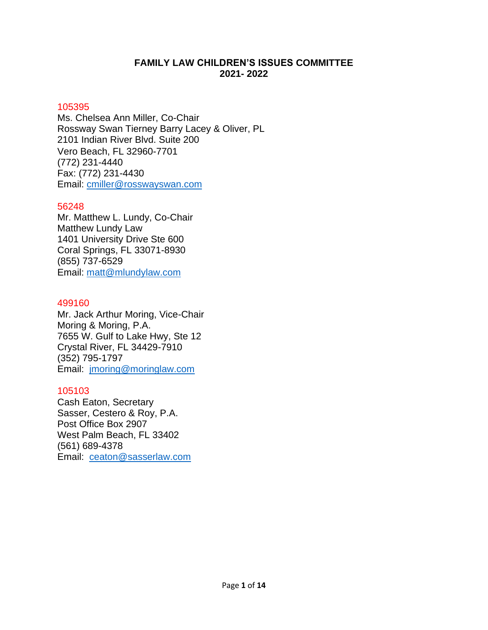# **FAMILY LAW CHILDREN'S ISSUES COMMITTEE 2021- 2022**

## 105395

Ms. Chelsea Ann Miller, Co-Chair Rossway Swan Tierney Barry Lacey & Oliver, PL 2101 Indian River Blvd. Suite 200 Vero Beach, FL 32960-7701 (772) 231-4440 Fax: (772) 231-4430 Email: [cmiller@rosswayswan.com](mailto:cmiller@rosswayswan.com)

## 56248

Mr. Matthew L. Lundy, Co-Chair Matthew Lundy Law 1401 University Drive Ste 600 Coral Springs, FL 33071-8930 (855) 737-6529 Email: [matt@mlundylaw.com](mailto:matt@mlundylaw.com)

## 499160

Mr. Jack Arthur Moring, Vice-Chair Moring & Moring, P.A. 7655 W. Gulf to Lake Hwy, Ste 12 Crystal River, FL 34429-7910 (352) 795-1797 Email: [jmoring@moringlaw.com](mailto:jmoring@moringlaw.com)

# 105103

Cash Eaton, Secretary Sasser, Cestero & Roy, P.A. Post Office Box 2907 West Palm Beach, FL 33402 (561) 689-4378 Email: [ceaton@sasserlaw.com](mailto:ceaton@sasserlaw.com)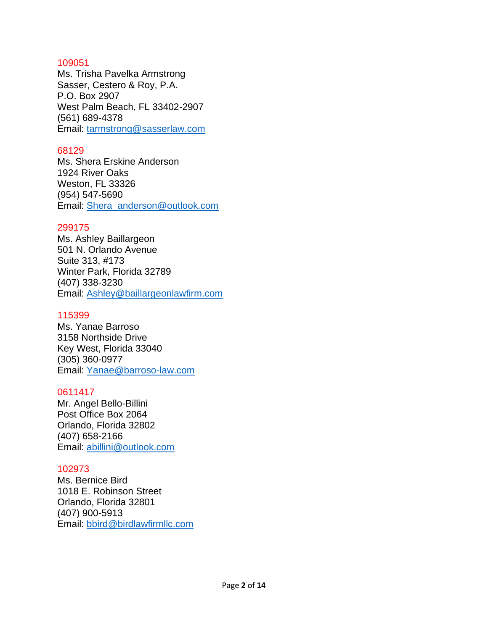Ms. Trisha Pavelka Armstrong Sasser, Cestero & Roy, P.A. P.O. Box 2907 West Palm Beach, FL 33402-2907 (561) 689-4378 Email: [tarmstrong@sasserlaw.com](mailto:tarmstrong@sasserlaw.com)

## 68129

Ms. Shera Erskine Anderson 1924 River Oaks Weston, FL 33326 (954) 547-5690 Email: [Shera\\_anderson@outlook.com](mailto:Shera_anderson@outlook.com)

## 299175

Ms. Ashley Baillargeon 501 N. Orlando Avenue Suite 313, #173 Winter Park, Florida 32789 (407) 338-3230 Email: [Ashley@baillargeonlawfirm.com](mailto:Ashley@baillargeonlawfirm.com)

## 115399

Ms. Yanae Barroso 3158 Northside Drive Key West, Florida 33040 (305) 360-0977 Email: [Yanae@barroso-law.com](mailto:Yanae@barroso-law.com)

# 0611417

Mr. Angel Bello-Billini Post Office Box 2064 Orlando, Florida 32802 (407) 658-2166 Email: [abillini@outlook.com](mailto:abillini@outlook.com)

### 102973

Ms. Bernice Bird 1018 E. Robinson Street Orlando, Florida 32801 (407) 900-5913 Email: [bbird@birdlawfirmllc.com](mailto:bbird@birdlawfirmllc.com)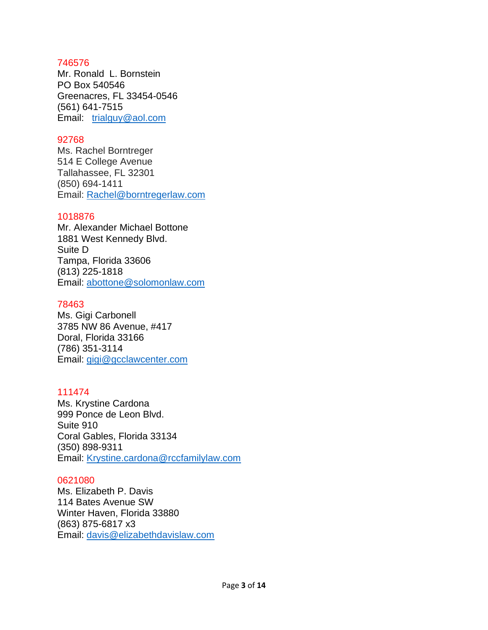Mr. Ronald L. Bornstein PO Box 540546 Greenacres, FL 33454-0546 (561) [641-7515](tel:561-641-7515) Email: [trialguy@aol.com](mailto:trialguy@aol.com)

## 92768

Ms. Rachel Borntreger 514 E College Avenue Tallahassee, FL 32301 (850) 694-1411 Email: [Rachel@borntregerlaw.com](mailto:Rachel@borntregerlaw.com)

## 1018876

Mr. Alexander Michael Bottone 1881 West Kennedy Blvd. Suite D Tampa, Florida 33606 (813) 225-1818 Email: [abottone@solomonlaw.com](mailto:abottone@solomonlaw.com)

## 78463

Ms. Gigi Carbonell 3785 NW 86 Avenue, #417 Doral, Florida 33166 (786) 351-3114 Email: [gigi@gcclawcenter.com](mailto:gigi@gcclawcenter.com)

# 111474

Ms. Krystine Cardona 999 Ponce de Leon Blvd. Suite 910 Coral Gables, Florida 33134 (350) 898-9311 Email: [Krystine.cardona@rccfamilylaw.com](mailto:Krystine.cardona@rccfamilylaw.com)

# 0621080

Ms. Elizabeth P. Davis 114 Bates Avenue SW Winter Haven, Florida 33880 (863) 875-6817 x3 Email: [davis@elizabethdavislaw.com](mailto:davis@elizabethdavislaw.com)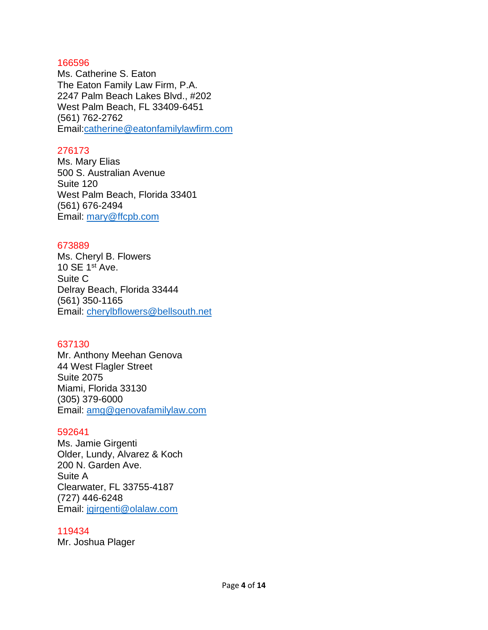Ms. Catherine S. Eaton The Eaton Family Law Firm, P.A. 2247 Palm Beach Lakes Blvd., #202 West Palm Beach, FL 33409-6451 (561) 762-2762 Email[:catherine@eatonfamilylawfirm.com](mailto:catherine@eatonfamilylawfirm.com)

## 276173

Ms. Mary Elias 500 S. Australian Avenue Suite 120 West Palm Beach, Florida 33401 (561) 676-2494 Email: [mary@ffcpb.com](mailto:mary@ffcpb.com)

### 673889

Ms. Cheryl B. Flowers 10 SE 1st Ave. Suite C Delray Beach, Florida 33444 (561) 350-1165 Email: [cherylbflowers@bellsouth.net](mailto:cherylbflowers@bellsouth.net)

### 637130

Mr. Anthony Meehan Genova 44 West Flagler Street Suite 2075 Miami, Florida 33130 (305) 379-6000 Email: [amg@genovafamilylaw.com](mailto:amg@genovafamilylaw.com)

#### 592641

Ms. Jamie Girgenti Older, Lundy, Alvarez & Koch 200 N. Garden Ave. Suite A Clearwater, FL 33755-4187 (727) 446-6248 Email: [jgirgenti@olalaw.com](mailto:jgirgenti@olalaw.com)

#### 119434

Mr. Joshua Plager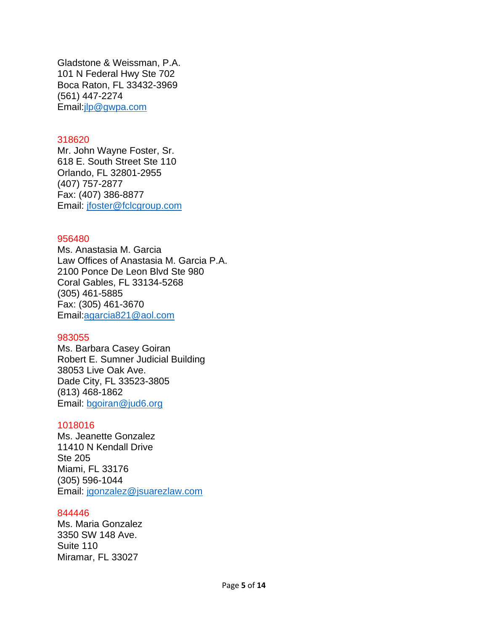Gladstone & Weissman, P.A. 101 N Federal Hwy Ste 702 Boca Raton, FL 33432-3969 (561) [447-2274](tel:561-447-2274) Email[:jlp@gwpa.com](mailto:jlp@gwpa.com)

#### 318620

Mr. John Wayne Foster, Sr. 618 E. South Street Ste 110 Orlando, FL 32801-2955 (407) 757-2877 Fax: (407) 386-8877 Email: [jfoster@fclcgroup.com](mailto:jfoster@fclcgroup.com)

#### 956480

Ms. Anastasia M. Garcia Law Offices of Anastasia M. Garcia P.A. 2100 Ponce De Leon Blvd Ste 980 Coral Gables, FL 33134-5268 (305) [461-5885](tel:305-461-5885) Fax: (305) 461-3670 Email[:agarcia821@aol.com](mailto:agarcia821@aol.com)

#### 983055

Ms. Barbara Casey Goiran Robert E. Sumner Judicial Building 38053 Live Oak Ave. Dade City, FL 33523-3805 (813) 468-1862 Email: [bgoiran@jud6.org](mailto:bgoiran@jud6.org)

### 1018016

Ms. Jeanette Gonzalez 11410 N Kendall Drive Ste 205 Miami, FL 33176 (305) 596-1044 Email: [jgonzalez@jsuarezlaw.com](mailto:jgonzalez@jsuarezlaw.com)

#### 844446

Ms. Maria Gonzalez 3350 SW 148 Ave. Suite 110 Miramar, FL 33027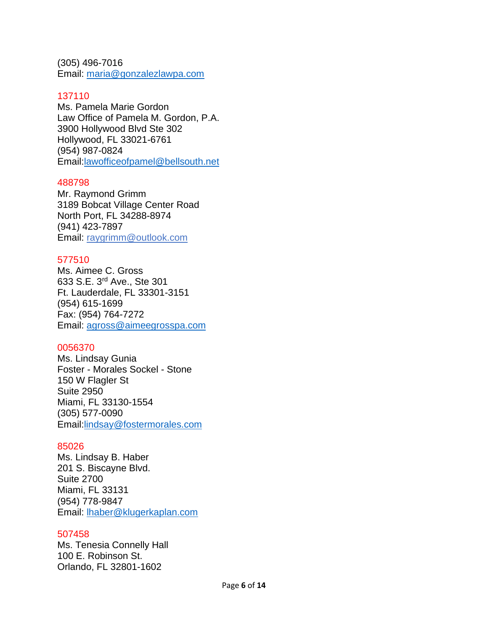(305) [496-7016](tel:954-809-3300) Email: [maria@gonzalezlawpa.com](mailto:maria@gonzalezlawpa.com)

### 137110

Ms. Pamela Marie Gordon Law Office of Pamela M. Gordon, P.A. 3900 Hollywood Blvd Ste 302 Hollywood, FL 33021-6761 (954) [987-0824](tel:954-987-0824) Email[:lawofficeofpamel@bellsouth.net](mailto:lawofficeofpamel@bellsouth.net)

### 488798

Mr. Raymond Grimm 3189 Bobcat Village Center Road North Port, FL 34288-8974 (941) 423-7897 Email: raygrimm@outlook.com

### 577510

Ms. Aimee C. Gross 633 S.E. 3rd Ave., Ste 301 Ft. Lauderdale, FL 33301-3151 (954) 615-1699 Fax: (954) 764-7272 Email: [agross@aimeegrosspa.com](mailto:agross@aimeegrosspa.com)

### 0056370

Ms. Lindsay Gunia Foster - Morales Sockel - Stone 150 W Flagler St Suite 2950 Miami, FL 33130-1554 (305) [577-0090](tel:305-577-0090) Email[:lindsay@fostermorales.com](mailto:lindsay@fostermorales.com)

### 85026

Ms. Lindsay B. Haber 201 S. Biscayne Blvd. Suite 2700 Miami, FL 33131 (954) 778-9847 Email: [lhaber@klugerkaplan.com](mailto:lhaber@klugerkaplan.com)

### 507458

Ms. Tenesia Connelly Hall 100 E. Robinson St. Orlando, FL 32801-1602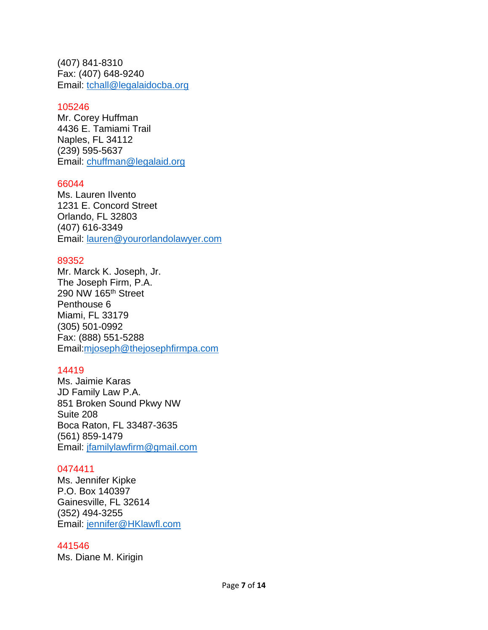(407) 841-8310 Fax: (407) 648-9240 Email: [tchall@legalaidocba.org](mailto:tchall@legalaidocba.org)

## 105246

Mr. Corey Huffman 4436 E. Tamiami Trail Naples, FL 34112 (239) 595-5637 Email: [chuffman@legalaid.org](mailto:chuffman@legalaid.org)

## 66044

Ms. Lauren Ilvento 1231 E. Concord Street Orlando, FL 32803 (407) 616-3349 Email: [lauren@yourorlandolawyer.com](mailto:lauren@yourorlandolawyer.com)

### 89352

Mr. Marck K. Joseph, Jr. The Joseph Firm, P.A. 290 NW 165th Street Penthouse 6 Miami, FL 33179 (305) [501-0992](tel:305-501-0992) Fax: (888) 551-5288 Email[:mjoseph@thejosephfirmpa.com](mailto:mjoseph@thejosephfirmpa.com)

# 14419

Ms. Jaimie Karas JD Family Law P.A. 851 Broken Sound Pkwy NW Suite 208 Boca Raton, FL 33487-3635 (561) 859-1479 Email: [jfamilylawfirm@gmail.com](mailto:jfamilylawfirm@gmail.com)

### 0474411

Ms. Jennifer Kipke P.O. Box 140397 Gainesville, FL 32614 (352) 494-3255 Email: [jennifer@HKlawfl.com](mailto:jennifer@HKlawfl.com)

### 441546

Ms. Diane M. Kirigin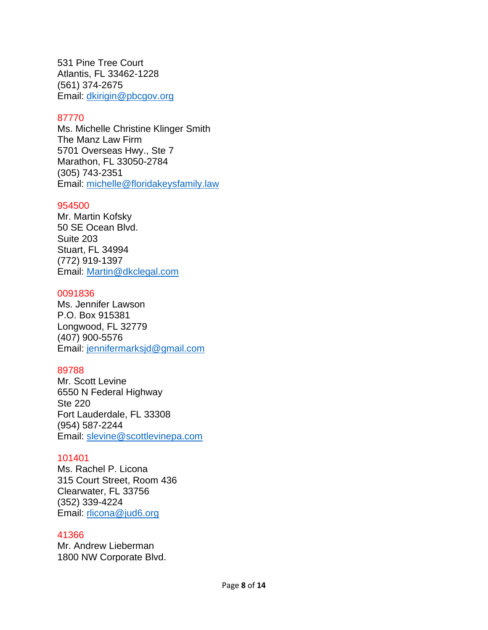531 Pine Tree Court Atlantis, FL 33462-1228 (561) 374-2675 Email: [dkirigin@pbcgov.org](mailto:dkirigin@pbcgov.org)

## 87770

Ms. Michelle Christine Klinger Smith The Manz Law Firm 5701 Overseas Hwy., Ste 7 Marathon, FL 33050-2784 (305) 743-2351 Email: [michelle@floridakeysfamily.law](mailto:michelle@floridakeysfamily.law)

### 954500

Mr. Martin Kofsky 50 SE Ocean Blvd. Suite 203 Stuart, FL 34994 (772) 919-1397 Email: [Martin@dkclegal.com](mailto:Martin@dkclegal.com)

### 0091836

Ms. Jennifer Lawson P.O. Box 915381 Longwood, FL 32779 (407) 900-5576 Email: [jennifermarksjd@gmail.com](mailto:jennifermarksjd@gmail.com)

# 89788

Mr. Scott Levine 6550 N Federal Highway Ste 220 Fort Lauderdale, FL 33308 (954) 587-2244 Email: [slevine@scottlevinepa.com](mailto:slevine@scottlevinepa.com)

### 101401

Ms. Rachel P. Licona 315 Court Street, Room 436 Clearwater, FL 33756 (352) 339-4224 Email: [rlicona@jud6.org](mailto:rlicona@jud6.org)

### 41366

Mr. Andrew Lieberman 1800 NW Corporate Blvd.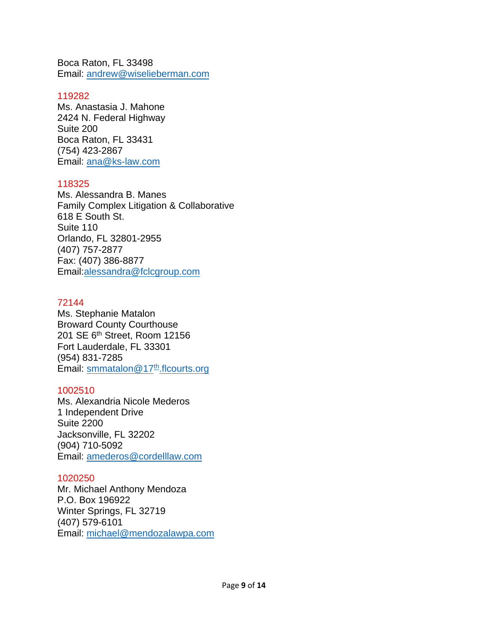Boca Raton, FL 33498 Email: andrew@wiselieberman.com

## 119282

Ms. Anastasia J. Mahone 2424 N. Federal Highway Suite 200 Boca Raton, FL 33431 (754) 423-2867 Email: ana@ks-law.com

## 118325

Ms. Alessandra B. Manes Family Complex Litigation & Collaborative 618 E South St. Suite 110 Orlando, FL 32801-2955 (407) 757-2877 [Fax: \(407\)](tel:407-757-2877) 386-8877 Email:alessandra@fclcgroup.com

## 72144

Ms. Stephanie Matalon Broward County Courthouse 201 SE 6th Street, Room 12156 Fort Lauderdale, FL 33301 (954) 831-7285 Email: smmatalon@17<sup>th</sup>.flcourts.org

## 1002510

Ms. Alexandria Nicole Mederos 1 Independent Drive Suite 2200 Jacksonville, FL 32202 (904) 710-5092 Email: [amederos@cordelllaw.com](mailto:amederos@cordelllaw.com)

# 1020250

Mr. Michael Anthony Mendoza P.O. Box 196922 Winter Springs, FL 32719 (407) 579-6101 Email: michael@mendozalawpa.com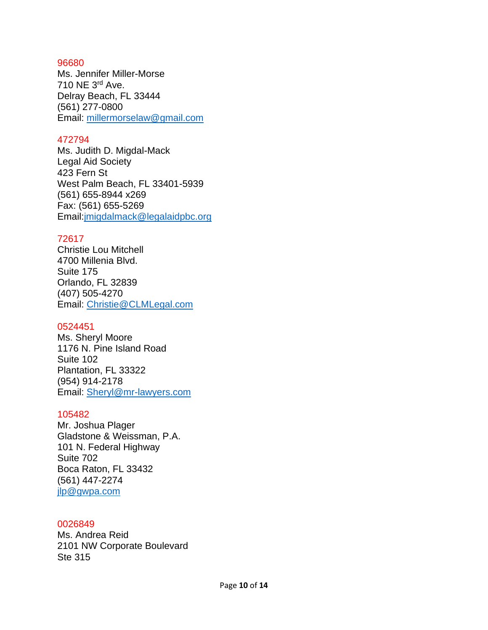Ms. Jennifer Miller-Morse 710 NE 3rd Ave. Delray Beach, FL 33444 (561) 277-0800 Email: [millermorselaw@gmail.com](mailto:millermorselaw@gmail.com)

## 472794

Ms. Judith D. Migdal-Mack Legal Aid Society 423 Fern St West Palm Beach, FL 33401-5939 (561) [655-8944](tel:561-655-8944%20x269) x269 Fax: (561) 655-5269 Email[:jmigdalmack@legalaidpbc.org](mailto:jmigdalmack@legalaidpbc.org)

## 72617

Christie Lou Mitchell 4700 Millenia Blvd. Suite 175 Orlando, FL 32839 (407) 505-4270 Email: [Christie@CLMLegal.com](mailto:Christie@CLMLegal.com)

### 0524451

Ms. Sheryl Moore 1176 N. Pine Island Road Suite 102 Plantation, FL 33322 (954) 914-2178 Email: [Sheryl@mr-lawyers.com](mailto:Sheryl@mr-lawyers.com)

### 105482

Mr. Joshua Plager Gladstone & Weissman, P.A. 101 N. Federal Highway Suite 702 Boca Raton, FL 33432 (561) 447-2274 [jlp@gwpa.com](mailto:jlp@gwpa.com)

#### 0026849

Ms. Andrea Reid 2101 NW Corporate Boulevard Ste 315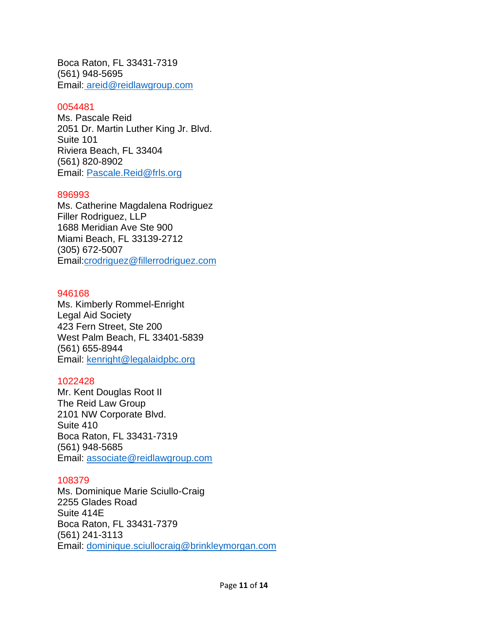Boca Raton, FL 33431-7319 (561) 948-5695 Email: [areid@reidlawgroup.com](mailto:%20areid@reidlawgroup.com)

## 0054481

Ms. Pascale Reid 2051 Dr. Martin Luther King Jr. Blvd. Suite 101 Riviera Beach, FL 33404 (561) 820-8902 Email: [Pascale.Reid@frls.org](mailto:Pascale.Reid@frls.org)

### 896993

Ms. Catherine Magdalena Rodriguez Filler Rodriguez, LLP 1688 Meridian Ave Ste 900 Miami Beach, FL 33139-2712 (305) [672-5007](tel:305-672-5007) Email[:crodriguez@fillerrodriguez.com](mailto:crodriguez@fillerrodriguez.com)

### 946168

Ms. Kimberly Rommel-Enright Legal Aid Society 423 Fern Street, Ste 200 West Palm Beach, FL 33401-5839 (561) 655-8944 Email: [kenright@legalaidpbc.org](mailto:kenright@legalaidpbc.org)

### 1022428

Mr. Kent Douglas Root II The Reid Law Group 2101 NW Corporate Blvd. Suite 410 Boca Raton, FL 33431-7319 (561) 948-5685 Email: [associate@reidlawgroup.com](mailto:associate@reidlawgroup.com)

### 108379

Ms. Dominique Marie Sciullo-Craig 2255 Glades Road Suite 414E Boca Raton, FL 33431-7379 (561) 241-3113 Email: [dominique.sciullocraig@brinkleymorgan.com](mailto:dominique.sciullocraig@brinkleymorgan.com)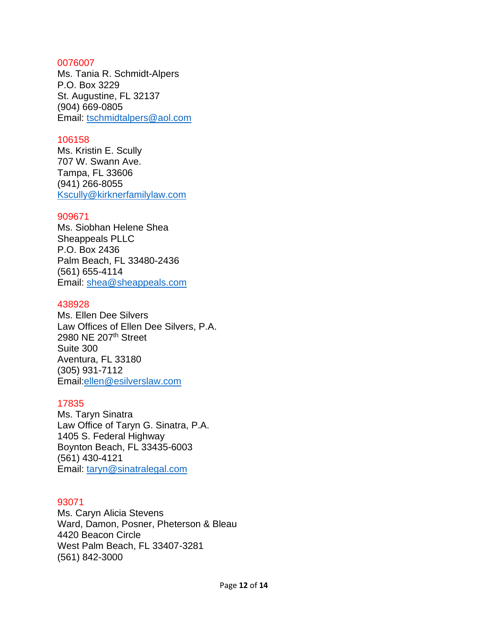Ms. Tania R. Schmidt-Alpers P.O. Box 3229 St. Augustine, FL 32137 (904) 669-0805 Email: [tschmidtalpers@aol.com](mailto:tschmidtalpers@aol.com)

### 106158

Ms. Kristin E. Scully 707 W. Swann Ave. Tampa, FL 33606 (941) 266-8055 [Kscully@kirknerfamilylaw.com](mailto:Kscully@kirknerfamilylaw.com)

#### 909671

Ms. Siobhan Helene Shea Sheappeals PLLC P.O. Box 2436 Palm Beach, FL 33480-2436 (561) 655-4114 Email: [shea@sheappeals.com](mailto:shea@sheappeals.com)

#### 438928

Ms. Ellen Dee Silvers Law Offices of Ellen Dee Silvers, P.A. 2980 NE 207th Street Suite 300 Aventura, FL 33180 (305) [931-7112](tel:305-931-7112) Email[:ellen@esilverslaw.com](mailto:ellen@esilverslaw.com)

### 17835

Ms. Taryn Sinatra Law Office of Taryn G. Sinatra, P.A. 1405 S. Federal Highway Boynton Beach, FL 33435-6003 (561) 430-4121 Email: [taryn@sinatralegal.com](mailto:taryn@sinatralegal.com)

### 93071

Ms. Caryn Alicia Stevens Ward, Damon, Posner, Pheterson & Bleau 4420 Beacon Circle West Palm Beach, FL 33407-3281 (561) [842-3000](tel:561-842-3000)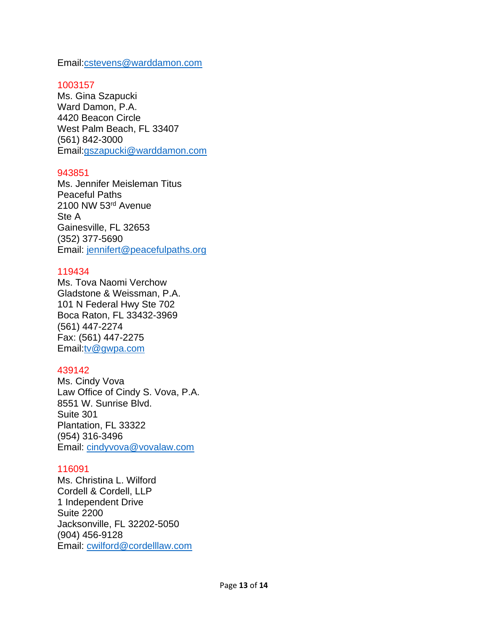Email[:cstevens@warddamon.com](mailto:cstevens@warddamon.com)

## 1003157

Ms. Gina Szapucki Ward Damon, P.A. 4420 Beacon Circle West Palm Beach, FL 33407 (561) [842-3000](tel:561-622-1090)  Email[:gszapucki@warddamon.com](mailto:gszapucki@warddamon.com)

## 943851

Ms. Jennifer Meisleman Titus Peaceful Paths 2100 NW 53rd Avenue Ste A Gainesville, FL 32653 (352) 377-5690 Email: [jennifert@peacefulpaths.org](mailto:jennifert@peacefulpaths.org)

# 119434

Ms. Tova Naomi Verchow Gladstone & Weissman, P.A. 101 N Federal Hwy Ste 702 Boca Raton, FL 33432-3969 (561) [447-2274](tel:561-447-2274) Fax: (561) 447-2275 Email[:tv@gwpa.com](mailto:tv@gwpa.com)

# 439142

Ms. Cindy Vova Law Office of Cindy S. Vova, P.A. 8551 W. Sunrise Blvd. Suite 301 Plantation, FL 33322 (954) 316-3496 Email: [cindyvova@vovalaw.com](mailto:cindyvova@vovalaw.com)

### 116091

Ms. Christina L. Wilford Cordell & Cordell, LLP 1 Independent Drive Suite 2200 Jacksonville, FL 32202-5050 (904) 456-9128 Email: [cwilford@cordelllaw.com](mailto:cwilford@cordelllaw.com)